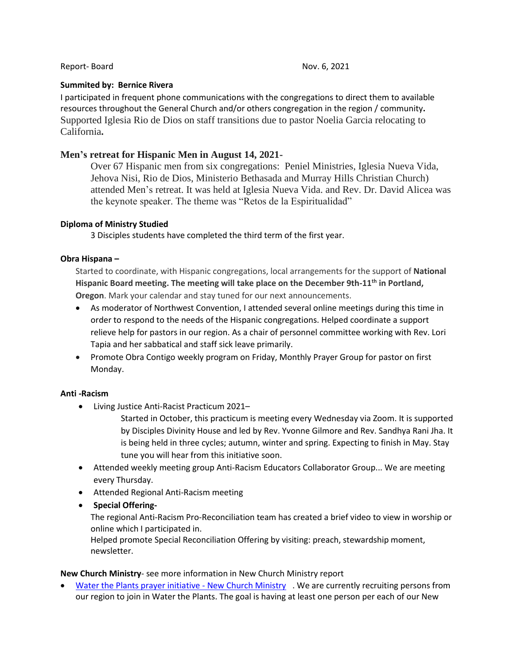#### Report- Board Nov. 6, 2021

## **Summited by: Bernice Rivera**

I participated in frequent phone communications with the congregations to direct them to available resources throughout the General Church and/or others congregation in the region / community**.** Supported Iglesia Rio de Dios on staff transitions due to pastor Noelia Garcia relocating to California**.**

# **Men's retreat for Hispanic Men in August 14, 2021-**

Over 67 Hispanic men from six congregations: Peniel Ministries, Iglesia Nueva Vida, Jehova Nisi, Rio de Dios, Ministerio Bethasada and Murray Hills Christian Church) attended Men's retreat. It was held at Iglesia Nueva Vida. and Rev. Dr. David Alicea was the keynote speaker. The theme was "Retos de la Espiritualidad"

# **Diploma of Ministry Studied**

3 Disciples students have completed the third term of the first year.

# **Obra Hispana –**

Started to coordinate, with Hispanic congregations, local arrangements for the support of **National Hispanic Board meeting. The meeting will take place on the December 9th-11th in Portland, Oregon**. Mark your calendar and stay tuned for our next announcements.

- As moderator of Northwest Convention, I attended several online meetings during this time in order to respond to the needs of the Hispanic congregations. Helped coordinate a support relieve help for pastors in our region. As a chair of personnel committee working with Rev. Lori Tapia and her sabbatical and staff sick leave primarily.
- Promote Obra Contigo weekly program on Friday, Monthly Prayer Group for pastor on first Monday.

# **Anti -Racism**

• Living Justice Anti-Racist Practicum 2021–

Started in October, this practicum is meeting every Wednesday via Zoom. It is supported by Disciples Divinity House and led by Rev. Yvonne Gilmore and Rev. Sandhya Rani Jha. It is being held in three cycles; autumn, winter and spring. Expecting to finish in May. Stay tune you will hear from this initiative soon.

- Attended weekly meeting group Anti-Racism Educators Collaborator Group... We are meeting every Thursday.
- Attended Regional Anti-Racism meeting
- **Special Offering-**

The regional Anti-Racism Pro-Reconciliation team has created a brief video to view in worship or online which I participated in.

Helped promote Special Reconciliation Offering by visiting: preach, stewardship moment, newsletter.

## **New Church Ministry**- see more information in New Church Ministry report

[Water the Plants prayer initiative -](https://newchurchministry.org/services/water-plants-prayer-initiative/) New Church Ministry . We are currently recruiting persons from our region to join in Water the Plants. The goal is having at least one person per each of our New